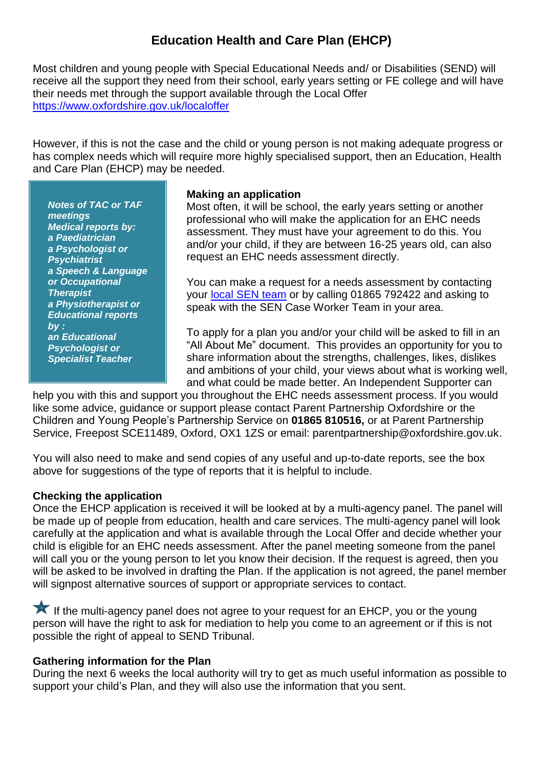# **Education Health and Care Plan (EHCP)**

Most children and young people with Special Educational Needs and/ or Disabilities (SEND) will receive all the support they need from their school, early years setting or FE college and will have their needs met through the support available through the Local Offer <https://www.oxfordshire.gov.uk/localoffer>

However, if this is not the case and the child or young person is not making adequate progress or has complex needs which will require more highly specialised support, then an Education, Health and Care Plan (EHCP) may be needed.

*Notes of TAC or TAF meetings Medical reports by: a Paediatrician a Psychologist or Psychiatrist a Speech & Language or Occupational Therapist a Physiotherapist or Educational reports by : an Educational Psychologist or Specialist Teacher*

#### **Making an application**

Most often, it will be school, the early years setting or another professional who will make the application for an EHC needs assessment. They must have your agreement to do this. You and/or your child, if they are between 16-25 years old, can also request an EHC needs assessment directly.

You can make a request for a needs assessment by contacting your [local SEN team](https://www.oxfordshire.gov.uk/cms/content/contact-special-educational-needs) or by calling 01865 792422 and asking to speak with the SEN Case Worker Team in your area.

To apply for a plan you and/or your child will be asked to fill in an "All About Me" document. This provides an opportunity for you to share information about the strengths, challenges, likes, dislikes and ambitions of your child, your views about what is working well, and what could be made better. An Independent Supporter can

help you with this and support you throughout the EHC needs assessment process. If you would like some advice, guidance or support please contact Parent Partnership Oxfordshire or the Children and Young People's Partnership Service on **01865 810516,** or at Parent Partnership Service, Freepost SCE11489, Oxford, OX1 1ZS or email: parentpartnership@oxfordshire.gov.uk.

You will also need to make and send copies of any useful and up-to-date reports, see the box above for suggestions of the type of reports that it is helpful to include.

## **Checking the application**

Once the EHCP application is received it will be looked at by a multi-agency panel. The panel will be made up of people from education, health and care services. The multi-agency panel will look carefully at the application and what is available through the Local Offer and decide whether your child is eligible for an EHC needs assessment. After the panel meeting someone from the panel will call you or the young person to let you know their decision. If the request is agreed, then you will be asked to be involved in drafting the Plan. If the application is not agreed, the panel member will signpost alternative sources of support or appropriate services to contact.

If the multi-agency panel does not agree to your request for an EHCP, you or the young person will have the right to ask for mediation to help you come to an agreement or if this is not possible the right of appeal to SEND Tribunal.

## **Gathering information for the Plan**

During the next 6 weeks the local authority will try to get as much useful information as possible to support your child's Plan, and they will also use the information that you sent.